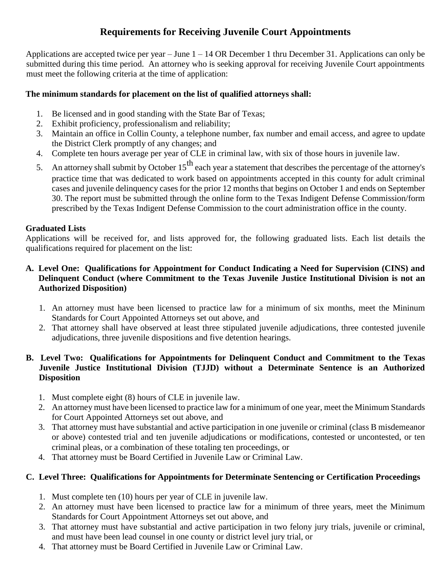# **Requirements for Receiving Juvenile Court Appointments**

Applications are accepted twice per year – June 1 – 14 OR December 1 thru December 31. Applications can only be submitted during this time period. An attorney who is seeking approval for receiving Juvenile Court appointments must meet the following criteria at the time of application:

## **The minimum standards for placement on the list of qualified attorneys shall:**

- 1. Be licensed and in good standing with the State Bar of Texas;
- 2. Exhibit proficiency, professionalism and reliability;
- 3. Maintain an office in Collin County, a telephone number, fax number and email access, and agree to update the District Clerk promptly of any changes; and
- 4. Complete ten hours average per year of CLE in criminal law, with six of those hours in juvenile law.
- 5. An attorney shall submit by October  $15<sup>th</sup>$  each year a statement that describes the percentage of the attorney's practice time that was dedicated to work based on appointments accepted in this county for adult criminal cases and juvenile delinquency cases for the prior 12 months that begins on October 1 and ends on September 30. The report must be submitted through the online form to the Texas Indigent Defense Commission/form prescribed by the Texas Indigent Defense Commission to the court administration office in the county.

## **Graduated Lists**

Applications will be received for, and lists approved for, the following graduated lists. Each list details the qualifications required for placement on the list:

## **A. Level One: Qualifications for Appointment for Conduct Indicating a Need for Supervision (CINS) and Delinquent Conduct (where Commitment to the Texas Juvenile Justice Institutional Division is not an Authorized Disposition)**

- 1. An attorney must have been licensed to practice law for a minimum of six months, meet the Mininum Standards for Court Appointed Attorneys set out above, and
- 2. That attorney shall have observed at least three stipulated juvenile adjudications, three contested juvenile adjudications, three juvenile dispositions and five detention hearings.

### **B. Level Two: Qualifications for Appointments for Delinquent Conduct and Commitment to the Texas Juvenile Justice Institutional Division (TJJD) without a Determinate Sentence is an Authorized Disposition**

- 1. Must complete eight (8) hours of CLE in juvenile law.
- 2. An attorney must have been licensed to practice law for a minimum of one year, meet the Minimum Standards for Court Appointed Attorneys set out above, and
- 3. That attorney must have substantial and active participation in one juvenile or criminal (class B misdemeanor or above) contested trial and ten juvenile adjudications or modifications, contested or uncontested, or ten criminal pleas, or a combination of these totaling ten proceedings, or
- 4. That attorney must be Board Certified in Juvenile Law or Criminal Law.

## **C. Level Three: Qualifications for Appointments for Determinate Sentencing or Certification Proceedings**

- 1. Must complete ten (10) hours per year of CLE in juvenile law.
- 2. An attorney must have been licensed to practice law for a minimum of three years, meet the Minimum Standards for Court Appointment Attorneys set out above, and
- 3. That attorney must have substantial and active participation in two felony jury trials, juvenile or criminal, and must have been lead counsel in one county or district level jury trial, or
- 4. That attorney must be Board Certified in Juvenile Law or Criminal Law.